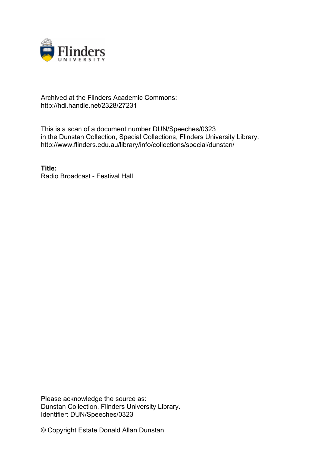

## Archived at the Flinders Academic Commons: http://hdl.handle.net/2328/27231

This is a scan of a document number DUN/Speeches/0323 in the Dunstan Collection, Special Collections, Flinders University Library. http://www.flinders.edu.au/library/info/collections/special/dunstan/

**Title:** Radio Broadcast - Festival Hall

Please acknowledge the source as: Dunstan Collection, Flinders University Library. Identifier: DUN/Speeches/0323

© Copyright Estate Donald Allan Dunstan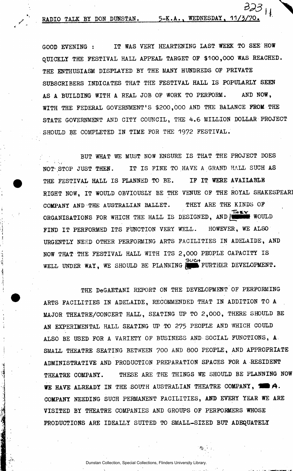RADIO TALK BY DON DUNSTAN. 5-K.A., WEDNESDAY, 11

GOOD EVENING : IT WAS VERY HEARTENING LAST WEEK TO SEE HOW QUICKLY THE FESTIVAL HALL APPEAL TARGET OF 3100,000 WAS REACHED. THE ENTHUSIASM DISPLAYED BY THE MANY HUNDREDS OF PRIVATE SUBSCRIBERS INDICATES THAT THE FESTIVAL HALL IS POPULARLY SEEN AS A BUILDING WITH A REAL JOB OF WORK TO PERFORM. AND NOW, WITH THE FEDERAL GOVERNMENT'S \$200,000 AND THE BALANCE FROM THE STATE GOVERNMENT AND CITY COUNCIL, THE 4.6 MILLION DOLLAR PROJECT SHOULD BE COMPLETED IN TIME FOR THE 1972 FESTIVAL.

BUT WHAT WE MUST NOW ENSURE IS THAT THE PROJECT DOES 1 ' *Fa*rt 1 - 1 - 1 NOT STOP JUST THE STOP JUST THE STOP JUST THE RESERVE AND LESS THE STOP JUST THE STOP JUST THE STOP JUST THE S RIGHT NOW. IT WOULD OBVIOUSLY BE THE VENUE OF THE ROYAL SHAKESPEARI  $R$  is the vertex of the vertex  $\mathcal{L}_\mathrm{M}$  is the vertex of the vertex of the vertex of the royal shakes  $\mathcal{L}_\mathrm{M}$ COMPANY AND THE AUSTRALIAN BALLET STRALIAN BALLET STRALIAN BALLET STRALIAN BALLET STRALIAN BALLET STRALIAN BALL  $\mathcal{O}_\mathcal{A}$  or  $\mathcal{O}_\mathcal{A}$  is designed, and  $\mathcal{O}_\mathcal{A}$  which the Hall is designed, and  $\mathcal{O}_\mathcal{A}$  would be a set of  $\mathcal{A}$ FIND IT PERFORMED ITS FUNCTION VERY WELL. HOWEVER, WE ALSO<br>URGENTLY NEED OTHER PERFORMING ARTS FACILITIES IN ADELAIDE, AND NOW THAT THE FESTIVAL HALL WITH ITS 2,000 PEOPLE CAPACITY IS  $30<sub>0</sub>$ <u>uus F</u> WELL UNDER WAY, WE SHOULD BE PLANNING **for FURTHER DEVELOPMENT.** 

THE DeGAETANI REPORT ON THE DEVELOPMENT OF PERFORMING ARTS FACILITIES IN ADELAIDE, RECOMMENDED THAT IN ADDITION TO A MAJOR THEATRE/CONCERT HALL, SEATING UP TO 2,000, THERE SHOULD BE AN EXPERIMENTAL HALL SEATING UP TO 275 PEOPLE AND WHICH COULD ALSO BE USED FOR A VARIETY OF BUSINESS AND SOCIAL FUNCTIONS, A SMALL THEATRE SEATING BETWEEN 700 AND 800 PEOPLE, AND APPROPRIATE ADMINISTRATIVE AND PRODUCTION PREPARATION SPACES FOR A RESIDENT THEATRE COMPANY. THESE ARE THE THINGS WE SHOULD BE PLANNING NOW WE HAVE ALREADY IN THE SOUTH AUSTRALIAN THEATRE COMPANY, **THE A**. COMPANY NEEDING SUCH PERMANENT FACILITIES, AND EVERY YEAR WE ARE VISITED BY THEATRE COMPANIES AND GROUPS OF PERFORMERS WHOSE PRODUCTIONS ARE IDEALLY SUITED TO SMALL-SIZED BUT ADEQUATELY

Dunstan Collection, Special Collections, Flinders University Librar